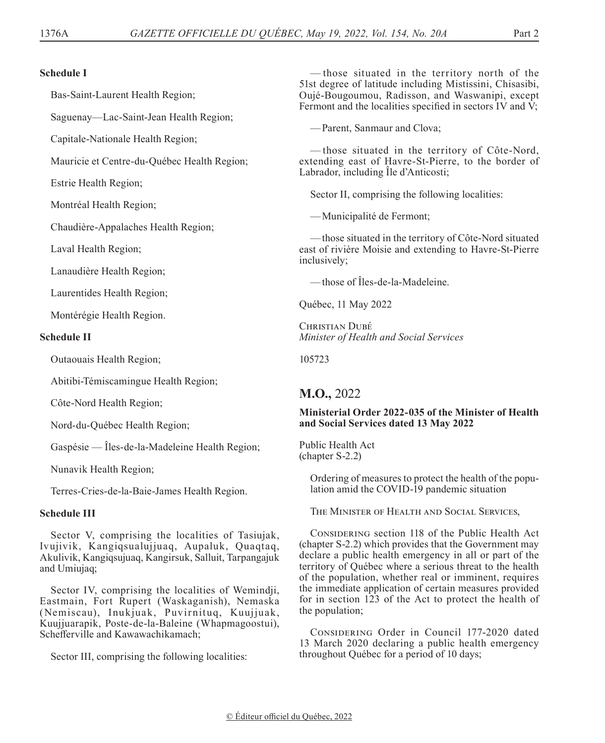#### **Schedule I**

Bas-Saint-Laurent Health Region;

Saguenay—Lac-Saint-Jean Health Region;

Capitale-Nationale Health Region;

Mauricie et Centre-du-Québec Health Region;

Estrie Health Region;

Montréal Health Region;

Chaudière-Appalaches Health Region;

Laval Health Region;

Lanaudière Health Region;

Laurentides Health Region;

Montérégie Health Region.

#### **Schedule II**

Outaouais Health Region;

Abitibi-Témiscamingue Health Region;

Côte-Nord Health Region;

Nord-du-Québec Health Region;

Gaspésie — Îles-de-la-Madeleine Health Region;

Nunavik Health Region;

Terres-Cries-de-la-Baie-James Health Region.

## **Schedule III**

Sector V, comprising the localities of Tasiujak, Ivujivik, Kangiqsualujjuaq, Aupaluk, Quaqtaq, Akulivik, Kangiqsujuaq, Kangirsuk, Salluit, Tarpangajuk and Umiujaq;

Sector IV, comprising the localities of Wemindji, Eastmain, Fort Rupert (Waskaganish), Nemaska (Nemiscau), Inukjuak, Puvirnituq, Kuujjuak, Kuujjuarapik, Poste-de-la-Baleine (Whapmagoostui), Schefferville and Kawawachikamach;

Sector III, comprising the following localities:

— those situated in the territory north of the 51st degree of latitude including Mistissini, Chisasibi, Oujé‑Bougoumou, Radisson, and Waswanipi, except Fermont and the localities specified in sectors IV and V;

—Parent, Sanmaur and Clova;

— those situated in the territory of Côte-Nord, extending east of Havre-St-Pierre, to the border of Labrador, including Île d'Anticosti;

Sector II, comprising the following localities:

—Municipalité de Fermont;

—those situated in the territory of Côte-Nord situated east of rivière Moisie and extending to Havre-St-Pierre inclusively;

—those of Îles-de-la-Madeleine.

Québec, 11 May 2022

CHRISTIAN DUBÉ *Minister of Health and Social Services*

105723

# **M.O.,** 2022

## **Ministerial Order 2022-035 of the Minister of Health and Social Services dated 13 May 2022**

Public Health Act (chapter S-2.2)

> Ordering of measures to protect the health of the population amid the COVID-19 pandemic situation

The Minister of Health and Social Services,

CONSIDERING section 118 of the Public Health Act (chapter S-2.2) which provides that the Government may declare a public health emergency in all or part of the territory of Québec where a serious threat to the health of the population, whether real or imminent, requires the immediate application of certain measures provided for in section 123 of the Act to protect the health of the population;

CONSIDERING Order in Council 177-2020 dated 13 March 2020 declaring a public health emergency throughout Québec for a period of 10 days;